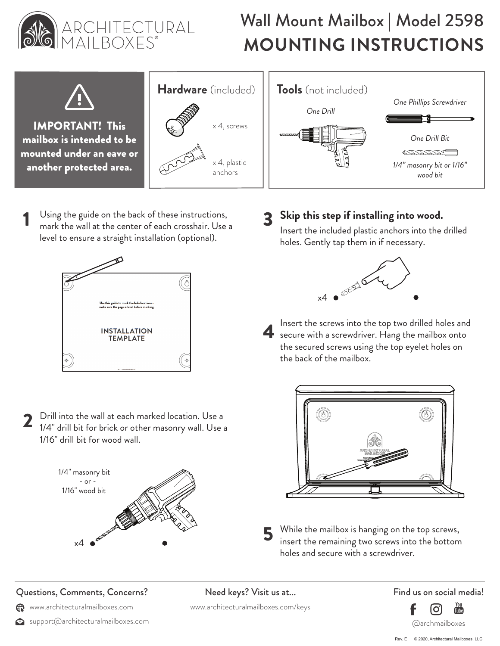

## Wall Mount Mailbox | Model 2598 ARCHITECTURAL **Wall Mount Mailbox | Model 2598**<br>MAILBOXES<sup>®</sup> MOUNTING INSTRUCTIONS



**IMPORTANT!** This  $\left\{ \bigotimes \mathbb{Y} \right\}$  x 4, screws mailbox is intended to be mounted under an eave or another protected area.



Using the guide on the back of these instructions, mark the wall at the center of each crosshair. Use a level to ensure a straight installation (optional).



2 Drill into the wall at each marked location. Use a 1/4" drill bit for brick or other masonry wall. Use a 1/16" drill bit for wood wall.



## Questions, Comments, Concerns?

- www.architecturalmailboxes.com
- support@architecturalmailboxes.com



## 3 **Skip this step if installing into wood.**

Insert the included plastic anchors into the drilled holes. Gently tap them in if necessary.



4 Insert the screws into the top two drilled holes and secure with a screwdriver. Hang the mailbox onto the secured screws using the top eyelet holes on the back of the mailbox.



While the mailbox is hanging on the top screws, insert the remaining two screws into the bottom holes and secure with a screwdriver.

Need keys? Visit us at...

www.architecturalmailboxes.com/keys

Find us on social media!



Rev. E © 2020, Architectural Mailboxes, LLC